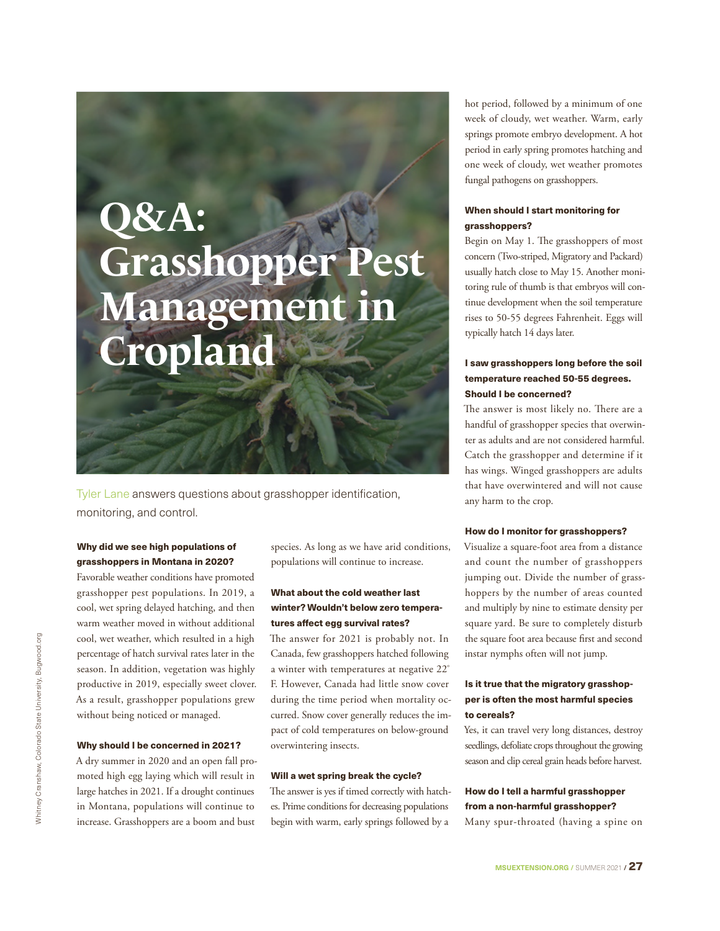# **Q&A: Grasshopper Pest Management in Cropland**

Tyler Lane answers questions about grasshopper identification, monitoring, and control.

## Why did we see high populations of grasshoppers in Montana in 2020?

Favorable weather conditions have promoted grasshopper pest populations. In 2019, a cool, wet spring delayed hatching, and then warm weather moved in without additional cool, wet weather, which resulted in a high percentage of hatch survival rates later in the season. In addition, vegetation was highly productive in 2019, especially sweet clover. As a result, grasshopper populations grew without being noticed or managed.

#### Why should I be concerned in 2021?

A dry summer in 2020 and an open fall promoted high egg laying which will result in large hatches in 2021. If a drought continues in Montana, populations will continue to increase. Grasshoppers are a boom and bust

species. As long as we have arid conditions, populations will continue to increase.

### What about the cold weather last winter? Wouldn't below zero temperatures affect egg survival rates?

The answer for 2021 is probably not. In Canada, few grasshoppers hatched following a winter with temperatures at negative 22º F. However, Canada had little snow cover during the time period when mortality occurred. Snow cover generally reduces the impact of cold temperatures on below-ground overwintering insects.

#### Will a wet spring break the cycle?

The answer is yes if timed correctly with hatches. Prime conditions for decreasing populations begin with warm, early springs followed by a

hot period, followed by a minimum of one week of cloudy, wet weather. Warm, early springs promote embryo development. A hot period in early spring promotes hatching and one week of cloudy, wet weather promotes fungal pathogens on grasshoppers.

#### When should I start monitoring for grasshoppers?

Begin on May 1. The grasshoppers of most concern (Two-striped, Migratory and Packard) usually hatch close to May 15. Another monitoring rule of thumb is that embryos will continue development when the soil temperature rises to 50-55 degrees Fahrenheit. Eggs will typically hatch 14 days later.

### I saw grasshoppers long before the soil temperature reached 50-55 degrees. Should I be concerned?

The answer is most likely no. There are a handful of grasshopper species that overwinter as adults and are not considered harmful. Catch the grasshopper and determine if it has wings. Winged grasshoppers are adults that have overwintered and will not cause any harm to the crop.

#### How do I monitor for grasshoppers?

Visualize a square-foot area from a distance and count the number of grasshoppers jumping out. Divide the number of grasshoppers by the number of areas counted and multiply by nine to estimate density per square yard. Be sure to completely disturb the square foot area because first and second instar nymphs often will not jump.

### Is it true that the migratory grasshopper is often the most harmful species to cereals?

Yes, it can travel very long distances, destroy seedlings, defoliate crops throughout the growing season and clip cereal grain heads before harvest.

## How do I tell a harmful grasshopper from a non-harmful grasshopper?

Many spur-throated (having a spine on